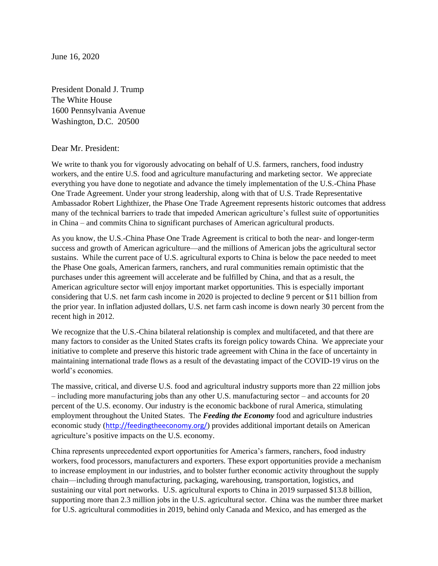June 16, 2020

President Donald J. Trump The White House 1600 Pennsylvania Avenue Washington, D.C. 20500

#### Dear Mr. President:

We write to thank you for vigorously advocating on behalf of U.S. farmers, ranchers, food industry workers, and the entire U.S. food and agriculture manufacturing and marketing sector. We appreciate everything you have done to negotiate and advance the timely implementation of the U.S.-China Phase One Trade Agreement. Under your strong leadership, along with that of U.S. Trade Representative Ambassador Robert Lighthizer, the Phase One Trade Agreement represents historic outcomes that address many of the technical barriers to trade that impeded American agriculture's fullest suite of opportunities in China – and commits China to significant purchases of American agricultural products.

As you know, the U.S.-China Phase One Trade Agreement is critical to both the near- and longer-term success and growth of American agriculture—and the millions of American jobs the agricultural sector sustains. While the current pace of U.S. agricultural exports to China is below the pace needed to meet the Phase One goals, American farmers, ranchers, and rural communities remain optimistic that the purchases under this agreement will accelerate and be fulfilled by China, and that as a result, the American agriculture sector will enjoy important market opportunities. This is especially important considering that U.S. net farm cash income in 2020 is projected to decline 9 percent or \$11 billion from the prior year. In inflation adjusted dollars, U.S. net farm cash income is down nearly 30 percent from the recent high in 2012.

We recognize that the U.S.-China bilateral relationship is complex and multifaceted, and that there are many factors to consider as the United States crafts its foreign policy towards China. We appreciate your initiative to complete and preserve this historic trade agreement with China in the face of uncertainty in maintaining international trade flows as a result of the devastating impact of the COVID-19 virus on the world's economies.

The massive, critical, and diverse U.S. food and agricultural industry supports more than 22 million jobs – including more manufacturing jobs than any other U.S. manufacturing sector – and accounts for 20 percent of the U.S. economy. Our industry is the economic backbone of rural America, stimulating employment throughout the United States. The *Feeding the Economy* food and agriculture industries economic study (<http://feedingtheeconomy.org/>) provides additional important details on American agriculture's positive impacts on the U.S. economy.

China represents unprecedented export opportunities for America's farmers, ranchers, food industry workers, food processors, manufacturers and exporters. These export opportunities provide a mechanism to increase employment in our industries, and to bolster further economic activity throughout the supply chain—including through manufacturing, packaging, warehousing, transportation, logistics, and sustaining our vital port networks. U.S. agricultural exports to China in 2019 surpassed \$13.8 billion, supporting more than 2.3 million jobs in the U.S. agricultural sector. China was the number three market for U.S. agricultural commodities in 2019, behind only Canada and Mexico, and has emerged as the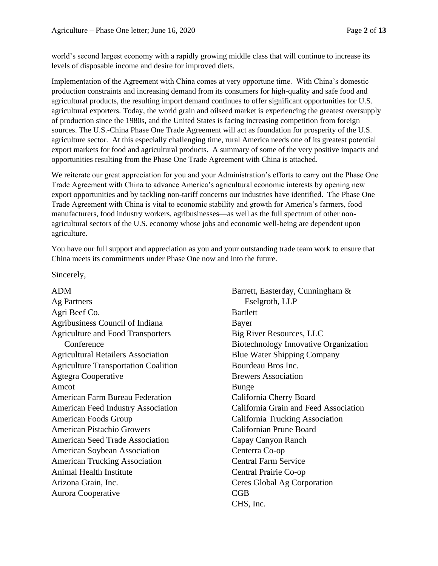world's second largest economy with a rapidly growing middle class that will continue to increase its levels of disposable income and desire for improved diets.

Implementation of the Agreement with China comes at very opportune time. With China's domestic production constraints and increasing demand from its consumers for high-quality and safe food and agricultural products, the resulting import demand continues to offer significant opportunities for U.S. agricultural exporters. Today, the world grain and oilseed market is experiencing the greatest oversupply of production since the 1980s, and the United States is facing increasing competition from foreign sources. The U.S.-China Phase One Trade Agreement will act as foundation for prosperity of the U.S. agriculture sector. At this especially challenging time, rural America needs one of its greatest potential export markets for food and agricultural products. A summary of some of the very positive impacts and opportunities resulting from the Phase One Trade Agreement with China is attached.

We reiterate our great appreciation for you and your Administration's efforts to carry out the Phase One Trade Agreement with China to advance America's agricultural economic interests by opening new export opportunities and by tackling non-tariff concerns our industries have identified. The Phase One Trade Agreement with China is vital to economic stability and growth for America's farmers, food manufacturers, food industry workers, agribusinesses—as well as the full spectrum of other nonagricultural sectors of the U.S. economy whose jobs and economic well-being are dependent upon agriculture.

You have our full support and appreciation as you and your outstanding trade team work to ensure that China meets its commitments under Phase One now and into the future.

Sincerely,

ADM Ag Partners Agri Beef Co. Agribusiness Council of Indiana Agriculture and Food Transporters **Conference** Agricultural Retailers Association Agriculture Transportation Coalition Agtegra Cooperative Amcot American Farm Bureau Federation American Feed Industry Association American Foods Group American Pistachio Growers American Seed Trade Association American Soybean Association American Trucking Association Animal Health Institute Arizona Grain, Inc. Aurora Cooperative

Barrett, Easterday, Cunningham & Eselgroth, LLP Bartlett Bayer Big River Resources, LLC Biotechnology Innovative Organization Blue Water Shipping Company Bourdeau Bros Inc. Brewers Association Bunge California Cherry Board California Grain and Feed Association California Trucking Association Californian Prune Board Capay Canyon Ranch Centerra Co-op Central Farm Service Central Prairie Co-op Ceres Global Ag Corporation CGB CHS, Inc.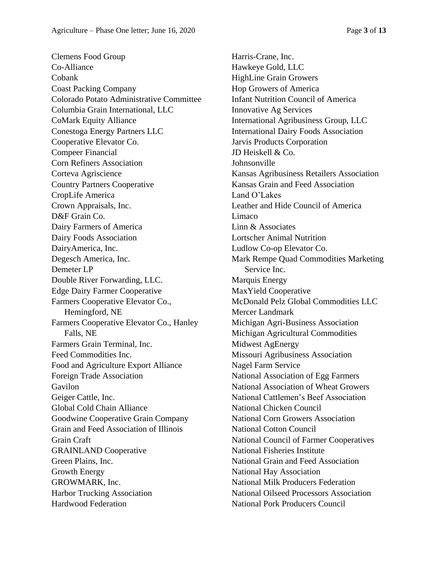Clemens Food Group Co-Alliance Cobank Coast Packing Company Colorado Potato Administrative Committee Columbia Grain International, LLC CoMark Equity Alliance Conestoga Energy Partners LLC Cooperative Elevator Co. Compeer Financial Corn Refiners Association Corteva Agriscience Country Partners Cooperative CropLife America Crown Appraisals, Inc. D&F Grain Co. Dairy Farmers of America Dairy Foods Association DairyAmerica, Inc. Degesch America, Inc. Demeter LP Double River Forwarding, LLC. Edge Dairy Farmer Cooperative Farmers Cooperative Elevator Co., Hemingford, NE Farmers Cooperative Elevator Co., Hanley Falls, NE Farmers Grain Terminal, Inc. Feed Commodities Inc. Food and Agriculture Export Alliance Foreign Trade Association Gavilon Geiger Cattle, Inc. Global Cold Chain Alliance Goodwine Cooperative Grain Company Grain and Feed Association of Illinois Grain Craft GRAINLAND Cooperative Green Plains, Inc. Growth Energy GROWMARK, Inc. Harbor Trucking Association Hardwood Federation

Harris-Crane, Inc. Hawkeye Gold, LLC HighLine Grain Growers Hop Growers of America Infant Nutrition Council of America Innovative Ag Services International Agribusiness Group, LLC International Dairy Foods Association Jarvis Products Corporation JD Heiskell & Co. Johnsonville Kansas Agribusiness Retailers Association Kansas Grain and Feed Association Land O'Lakes Leather and Hide Council of America Limaco Linn & Associates Lortscher Animal Nutrition Ludlow Co-op Elevator Co. Mark Rempe Quad Commodities Marketing Service Inc. Marquis Energy MaxYield Cooperative McDonald Pelz Global Commodities LLC Mercer Landmark Michigan Agri-Business Association Michigan Agricultural Commodities Midwest AgEnergy Missouri Agribusiness Association Nagel Farm Service National Association of Egg Farmers National Association of Wheat Growers National Cattlemen's Beef Association National Chicken Council National Corn Growers Association National Cotton Council National Council of Farmer Cooperatives National Fisheries Institute National Grain and Feed Association National Hay Association National Milk Producers Federation National Oilseed Processors Association National Pork Producers Council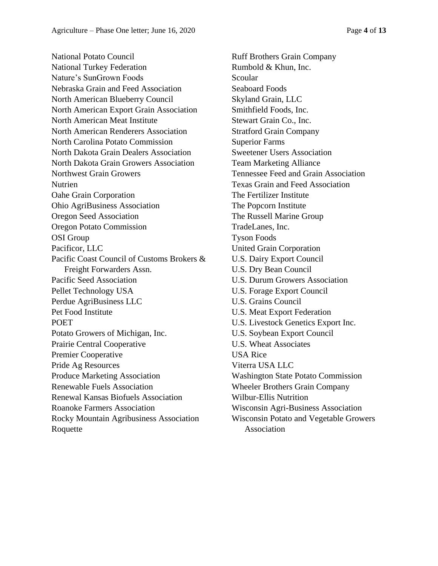National Potato Council National Turkey Federation Nature's SunGrown Foods Nebraska Grain and Feed Association North American Blueberry Council North American Export Grain Association North American Meat Institute North American Renderers Association North Carolina Potato Commission North Dakota Grain Dealers Association North Dakota Grain Growers Association Northwest Grain Growers Nutrien Oahe Grain Corporation Ohio AgriBusiness Association Oregon Seed Association Oregon Potato Commission OSI Group Pacificor, LLC Pacific Coast Council of Customs Brokers & Freight Forwarders Assn. Pacific Seed Association Pellet Technology USA Perdue AgriBusiness LLC Pet Food Institute POET Potato Growers of Michigan, Inc. Prairie Central Cooperative Premier Cooperative Pride Ag Resources Produce Marketing Association Renewable Fuels Association Renewal Kansas Biofuels Association Roanoke Farmers Association Rocky Mountain Agribusiness Association Roquette

Ruff Brothers Grain Company Rumbold & Khun, Inc. Scoular Seaboard Foods Skyland Grain, LLC Smithfield Foods, Inc. Stewart Grain Co., Inc. Stratford Grain Company Superior Farms Sweetener Users Association Team Marketing Alliance Tennessee Feed and Grain Association Texas Grain and Feed Association The Fertilizer Institute The Popcorn Institute The Russell Marine Group TradeLanes, Inc. Tyson Foods United Grain Corporation U.S. Dairy Export Council U.S. Dry Bean Council U.S. Durum Growers Association U.S. Forage Export Council U.S. Grains Council U.S. Meat Export Federation U.S. Livestock Genetics Export Inc. U.S. Soybean Export Council U.S. Wheat Associates USA Rice Viterra USA LLC Washington State Potato Commission Wheeler Brothers Grain Company Wilbur-Ellis Nutrition Wisconsin Agri-Business Association Wisconsin Potato and Vegetable Growers Association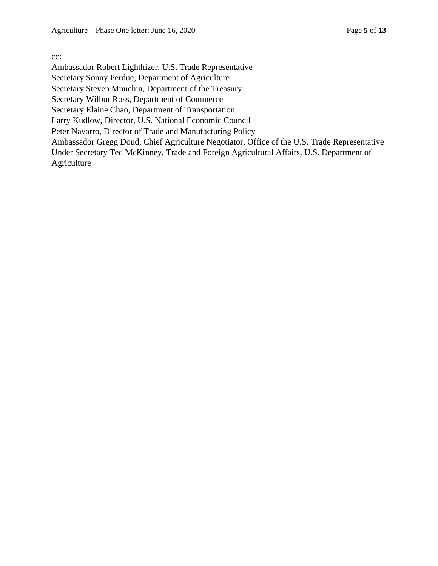cc:

Ambassador Robert Lighthizer, U.S. Trade Representative Secretary Sonny Perdue, Department of Agriculture Secretary Steven Mnuchin, Department of the Treasury Secretary Wilbur Ross, Department of Commerce Secretary Elaine Chao, Department of Transportation Larry Kudlow, Director, U.S. National Economic Council Peter Navarro, Director of Trade and Manufacturing Policy Ambassador Gregg Doud, Chief Agriculture Negotiator, Office of the U.S. Trade Representative Under Secretary Ted McKinney, Trade and Foreign Agricultural Affairs, U.S. Department of Agriculture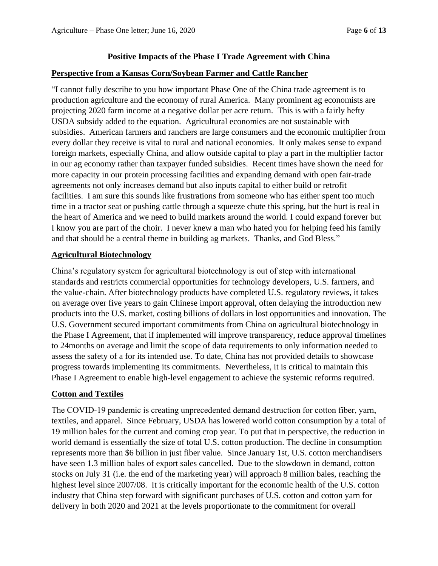# **Positive Impacts of the Phase I Trade Agreement with China**

# **Perspective from a Kansas Corn/Soybean Farmer and Cattle Rancher**

"I cannot fully describe to you how important Phase One of the China trade agreement is to production agriculture and the economy of rural America. Many prominent ag economists are projecting 2020 farm income at a negative dollar per acre return. This is with a fairly hefty USDA subsidy added to the equation. Agricultural economies are not sustainable with subsidies. American farmers and ranchers are large consumers and the economic multiplier from every dollar they receive is vital to rural and national economies. It only makes sense to expand foreign markets, especially China, and allow outside capital to play a part in the multiplier factor in our ag economy rather than taxpayer funded subsidies. Recent times have shown the need for more capacity in our protein processing facilities and expanding demand with open fair-trade agreements not only increases demand but also inputs capital to either build or retrofit facilities. I am sure this sounds like frustrations from someone who has either spent too much time in a tractor seat or pushing cattle through a squeeze chute this spring, but the hurt is real in the heart of America and we need to build markets around the world. I could expand forever but I know you are part of the choir. I never knew a man who hated you for helping feed his family and that should be a central theme in building ag markets. Thanks, and God Bless."

# **Agricultural Biotechnology**

China's regulatory system for agricultural biotechnology is out of step with international standards and restricts commercial opportunities for technology developers, U.S. farmers, and the value-chain. After biotechnology products have completed U.S. regulatory reviews, it takes on average over five years to gain Chinese import approval, often delaying the introduction new products into the U.S. market, costing billions of dollars in lost opportunities and innovation. The U.S. Government secured important commitments from China on agricultural biotechnology in the Phase I Agreement, that if implemented will improve transparency, reduce approval timelines to 24months on average and limit the scope of data requirements to only information needed to assess the safety of a for its intended use. To date, China has not provided details to showcase progress towards implementing its commitments. Nevertheless, it is critical to maintain this Phase I Agreement to enable high-level engagement to achieve the systemic reforms required.

# **Cotton and Textiles**

The COVID-19 pandemic is creating unprecedented demand destruction for cotton fiber, yarn, textiles, and apparel. Since February, USDA has lowered world cotton consumption by a total of 19 million bales for the current and coming crop year. To put that in perspective, the reduction in world demand is essentially the size of total U.S. cotton production. The decline in consumption represents more than \$6 billion in just fiber value. Since January 1st, U.S. cotton merchandisers have seen 1.3 million bales of export sales cancelled. Due to the slowdown in demand, cotton stocks on July 31 (i.e. the end of the marketing year) will approach 8 million bales, reaching the highest level since 2007/08. It is critically important for the economic health of the U.S. cotton industry that China step forward with significant purchases of U.S. cotton and cotton yarn for delivery in both 2020 and 2021 at the levels proportionate to the commitment for overall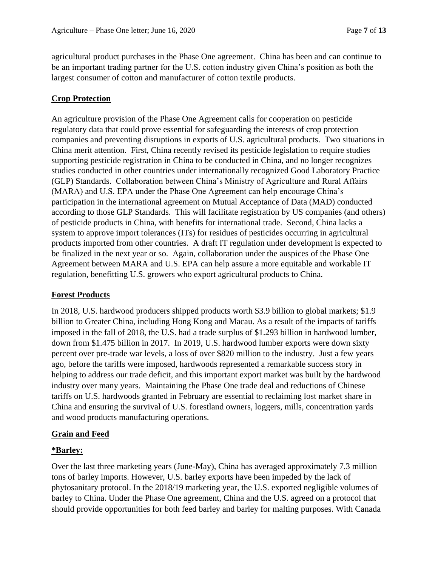agricultural product purchases in the Phase One agreement. China has been and can continue to be an important trading partner for the U.S. cotton industry given China's position as both the largest consumer of cotton and manufacturer of cotton textile products.

## **Crop Protection**

An agriculture provision of the Phase One Agreement calls for cooperation on pesticide regulatory data that could prove essential for safeguarding the interests of crop protection companies and preventing disruptions in exports of U.S. agricultural products. Two situations in China merit attention. First, China recently revised its pesticide legislation to require studies supporting pesticide registration in China to be conducted in China, and no longer recognizes studies conducted in other countries under internationally recognized Good Laboratory Practice (GLP) Standards. Collaboration between China's Ministry of Agriculture and Rural Affairs (MARA) and U.S. EPA under the Phase One Agreement can help encourage China's participation in the international agreement on Mutual Acceptance of Data (MAD) conducted according to those GLP Standards. This will facilitate registration by US companies (and others) of pesticide products in China, with benefits for international trade. Second, China lacks a system to approve import tolerances (ITs) for residues of pesticides occurring in agricultural products imported from other countries. A draft IT regulation under development is expected to be finalized in the next year or so. Again, collaboration under the auspices of the Phase One Agreement between MARA and U.S. EPA can help assure a more equitable and workable IT regulation, benefitting U.S. growers who export agricultural products to China.

#### **Forest Products**

In 2018, U.S. hardwood producers shipped products worth \$3.9 billion to global markets; \$1.9 billion to Greater China, including Hong Kong and Macau. As a result of the impacts of tariffs imposed in the fall of 2018, the U.S. had a trade surplus of \$1.293 billion in hardwood lumber, down from \$1.475 billion in 2017. In 2019, U.S. hardwood lumber exports were down sixty percent over pre-trade war levels, a loss of over \$820 million to the industry. Just a few years ago, before the tariffs were imposed, hardwoods represented a remarkable success story in helping to address our trade deficit, and this important export market was built by the hardwood industry over many years. Maintaining the Phase One trade deal and reductions of Chinese tariffs on U.S. hardwoods granted in February are essential to reclaiming lost market share in China and ensuring the survival of U.S. forestland owners, loggers, mills, concentration yards and wood products manufacturing operations.

#### **Grain and Feed**

#### **\*Barley:**

Over the last three marketing years (June-May), China has averaged approximately 7.3 million tons of barley imports. However, U.S. barley exports have been impeded by the lack of phytosanitary protocol. In the 2018/19 marketing year, the U.S. exported negligible volumes of barley to China. Under the Phase One agreement, China and the U.S. agreed on a protocol that should provide opportunities for both feed barley and barley for malting purposes. With Canada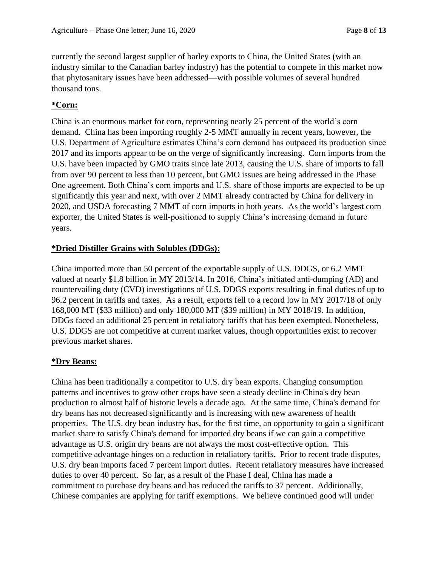currently the second largest supplier of barley exports to China, the United States (with an industry similar to the Canadian barley industry) has the potential to compete in this market now that phytosanitary issues have been addressed—with possible volumes of several hundred thousand tons.

# **\*Corn:**

China is an enormous market for corn, representing nearly 25 percent of the world's corn demand. China has been importing roughly 2-5 MMT annually in recent years, however, the U.S. Department of Agriculture estimates China's corn demand has outpaced its production since 2017 and its imports appear to be on the verge of significantly increasing. Corn imports from the U.S. have been impacted by GMO traits since late 2013, causing the U.S. share of imports to fall from over 90 percent to less than 10 percent, but GMO issues are being addressed in the Phase One agreement. Both China's corn imports and U.S. share of those imports are expected to be up significantly this year and next, with over 2 MMT already contracted by China for delivery in 2020, and USDA forecasting 7 MMT of corn imports in both years. As the world's largest corn exporter, the United States is well-positioned to supply China's increasing demand in future years.

## **\*Dried Distiller Grains with Solubles (DDGs):**

China imported more than 50 percent of the exportable supply of U.S. DDGS, or 6.2 MMT valued at nearly \$1.8 billion in MY 2013/14. In 2016, China's initiated anti-dumping (AD) and countervailing duty (CVD) investigations of U.S. DDGS exports resulting in final duties of up to 96.2 percent in tariffs and taxes. As a result, exports fell to a record low in MY 2017/18 of only 168,000 MT (\$33 million) and only 180,000 MT (\$39 million) in MY 2018/19. In addition, DDGs faced an additional 25 percent in retaliatory tariffs that has been exempted. Nonetheless, U.S. DDGS are not competitive at current market values, though opportunities exist to recover previous market shares.

#### **\*Dry Beans:**

China has been traditionally a competitor to U.S. dry bean exports. Changing consumption patterns and incentives to grow other crops have seen a steady decline in China's dry bean production to almost half of historic levels a decade ago. At the same time, China's demand for dry beans has not decreased significantly and is increasing with new awareness of health properties. The U.S. dry bean industry has, for the first time, an opportunity to gain a significant market share to satisfy China's demand for imported dry beans if we can gain a competitive advantage as U.S. origin dry beans are not always the most cost-effective option. This competitive advantage hinges on a reduction in retaliatory tariffs. Prior to recent trade disputes, U.S. dry bean imports faced 7 percent import duties. Recent retaliatory measures have increased duties to over 40 percent. So far, as a result of the Phase I deal, China has made a commitment to purchase dry beans and has reduced the tariffs to 37 percent. Additionally, Chinese companies are applying for tariff exemptions. We believe continued good will under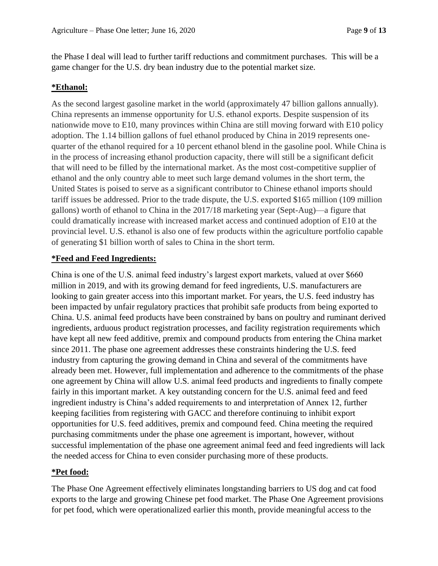the Phase I deal will lead to further tariff reductions and commitment purchases. This will be a game changer for the U.S. dry bean industry due to the potential market size.

#### **\*Ethanol:**

As the second largest gasoline market in the world (approximately 47 billion gallons annually). China represents an immense opportunity for U.S. ethanol exports. Despite suspension of its nationwide move to E10, many provinces within China are still moving forward with E10 policy adoption. The 1.14 billion gallons of fuel ethanol produced by China in 2019 represents onequarter of the ethanol required for a 10 percent ethanol blend in the gasoline pool. While China is in the process of increasing ethanol production capacity, there will still be a significant deficit that will need to be filled by the international market. As the most cost-competitive supplier of ethanol and the only country able to meet such large demand volumes in the short term, the United States is poised to serve as a significant contributor to Chinese ethanol imports should tariff issues be addressed. Prior to the trade dispute, the U.S. exported \$165 million (109 million gallons) worth of ethanol to China in the 2017/18 marketing year (Sept-Aug)—a figure that could dramatically increase with increased market access and continued adoption of E10 at the provincial level. U.S. ethanol is also one of few products within the agriculture portfolio capable of generating \$1 billion worth of sales to China in the short term.

### **\*Feed and Feed Ingredients:**

China is one of the U.S. animal feed industry's largest export markets, valued at over \$660 million in 2019, and with its growing demand for feed ingredients, U.S. manufacturers are looking to gain greater access into this important market. For years, the U.S. feed industry has been impacted by unfair regulatory practices that prohibit safe products from being exported to China. U.S. animal feed products have been constrained by bans on poultry and ruminant derived ingredients, arduous product registration processes, and facility registration requirements which have kept all new feed additive, premix and compound products from entering the China market since 2011. The phase one agreement addresses these constraints hindering the U.S. feed industry from capturing the growing demand in China and several of the commitments have already been met. However, full implementation and adherence to the commitments of the phase one agreement by China will allow U.S. animal feed products and ingredients to finally compete fairly in this important market. A key outstanding concern for the U.S. animal feed and feed ingredient industry is China's added requirements to and interpretation of Annex 12, further keeping facilities from registering with GACC and therefore continuing to inhibit export opportunities for U.S. feed additives, premix and compound feed. China meeting the required purchasing commitments under the phase one agreement is important, however, without successful implementation of the phase one agreement animal feed and feed ingredients will lack the needed access for China to even consider purchasing more of these products.

#### **\*Pet food:**

The Phase One Agreement effectively eliminates longstanding barriers to US dog and cat food exports to the large and growing Chinese pet food market. The Phase One Agreement provisions for pet food, which were operationalized earlier this month, provide meaningful access to the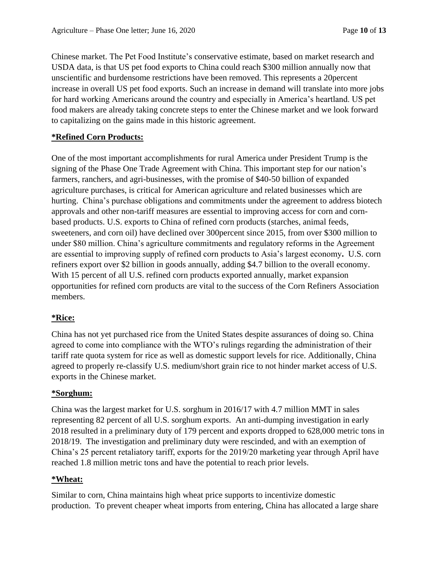Chinese market. The Pet Food Institute's conservative estimate, based on market research and USDA data, is that US pet food exports to China could reach \$300 million annually now that unscientific and burdensome restrictions have been removed. This represents a 20percent increase in overall US pet food exports. Such an increase in demand will translate into more jobs for hard working Americans around the country and especially in America's heartland. US pet food makers are already taking concrete steps to enter the Chinese market and we look forward to capitalizing on the gains made in this historic agreement.

## **\*Refined Corn Products:**

One of the most important accomplishments for rural America under President Trump is the signing of the Phase One Trade Agreement with China. This important step for our nation's farmers, ranchers, and agri-businesses, with the promise of \$40-50 billion of expanded agriculture purchases, is critical for American agriculture and related businesses which are hurting. China's purchase obligations and commitments under the agreement to address biotech approvals and other non-tariff measures are essential to improving access for corn and cornbased products. U.S. exports to China of refined corn products (starches, animal feeds, sweeteners, and corn oil) have declined over 300percent since 2015, from over \$300 million to under \$80 million. China's agriculture commitments and regulatory reforms in the Agreement are essential to improving supply of refined corn products to Asia's largest economy**.** U.S. corn refiners export over \$2 billion in goods annually, adding \$4.7 billion to the overall economy. With 15 percent of all U.S. refined corn products exported annually, market expansion opportunities for refined corn products are vital to the success of the Corn Refiners Association members.

# **\*Rice:**

China has not yet purchased rice from the United States despite assurances of doing so. China agreed to come into compliance with the WTO's rulings regarding the administration of their tariff rate quota system for rice as well as domestic support levels for rice. Additionally, China agreed to properly re-classify U.S. medium/short grain rice to not hinder market access of U.S. exports in the Chinese market.

#### **\*Sorghum:**

China was the largest market for U.S. sorghum in 2016/17 with 4.7 million MMT in sales representing 82 percent of all U.S. sorghum exports. An anti-dumping investigation in early 2018 resulted in a preliminary duty of 179 percent and exports dropped to 628,000 metric tons in 2018/19. The investigation and preliminary duty were rescinded, and with an exemption of China's 25 percent retaliatory tariff, exports for the 2019/20 marketing year through April have reached 1.8 million metric tons and have the potential to reach prior levels.

#### **\*Wheat:**

Similar to corn, China maintains high wheat price supports to incentivize domestic production. To prevent cheaper wheat imports from entering, China has allocated a large share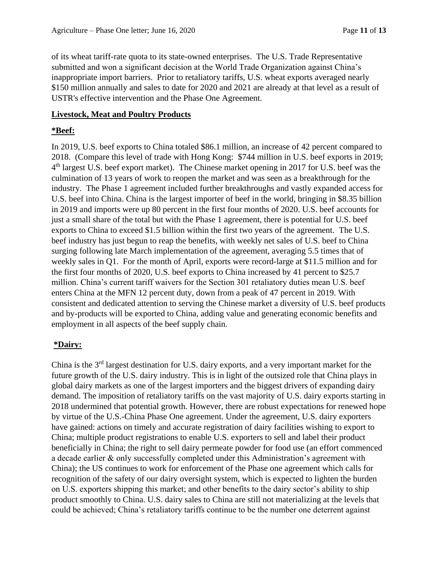of its wheat tariff-rate quota to its state-owned enterprises. The U.S. Trade Representative submitted and won a significant decision at the World Trade Organization against China's inappropriate import barriers. Prior to retaliatory tariffs, U.S. wheat exports averaged nearly \$150 million annually and sales to date for 2020 and 2021 are already at that level as a result of USTR's effective intervention and the Phase One Agreement.

### **Livestock, Meat and Poultry Products**

#### **\*Beef:**

In 2019, U.S. beef exports to China totaled \$86.1 million, an increase of 42 percent compared to 2018. (Compare this level of trade with Hong Kong: \$744 million in U.S. beef exports in 2019; 4<sup>th</sup> largest U.S. beef export market). The Chinese market opening in 2017 for U.S. beef was the culmination of 13 years of work to reopen the market and was seen as a breakthrough for the industry. The Phase 1 agreement included further breakthroughs and vastly expanded access for U.S. beef into China. China is the largest importer of beef in the world, bringing in \$8.35 billion in 2019 and imports were up 80 percent in the first four months of 2020. U.S. beef accounts for just a small share of the total but with the Phase 1 agreement, there is potential for U.S. beef exports to China to exceed \$1.5 billion within the first two years of the agreement. The U.S. beef industry has just begun to reap the benefits, with weekly net sales of U.S. beef to China surging following late March implementation of the agreement, averaging 5.5 times that of weekly sales in Q1. For the month of April, exports were record-large at \$11.5 million and for the first four months of 2020, U.S. beef exports to China increased by 41 percent to \$25.7 million. China's current tariff waivers for the Section 301 retaliatory duties mean U.S. beef enters China at the MFN 12 percent duty, down from a peak of 47 percent in 2019. With consistent and dedicated attention to serving the Chinese market a diversity of U.S. beef products and by-products will be exported to China, adding value and generating economic benefits and employment in all aspects of the beef supply chain.

#### **\*Dairy:**

China is the 3<sup>rd</sup> largest destination for U.S. dairy exports, and a very important market for the future growth of the U.S. dairy industry. This is in light of the outsized role that China plays in global dairy markets as one of the largest importers and the biggest drivers of expanding dairy demand. The imposition of retaliatory tariffs on the vast majority of U.S. dairy exports starting in 2018 undermined that potential growth. However, there are robust expectations for renewed hope by virtue of the U.S.-China Phase One agreement. Under the agreement, U.S. dairy exporters have gained: actions on timely and accurate registration of dairy facilities wishing to export to China; multiple product registrations to enable U.S. exporters to sell and label their product beneficially in China; the right to sell dairy permeate powder for food use (an effort commenced a decade earlier & only successfully completed under this Administration's agreement with China); the US continues to work for enforcement of the Phase one agreement which calls for recognition of the safety of our dairy oversight system, which is expected to lighten the burden on U.S. exporters shipping this market; and other benefits to the dairy sector's ability to ship product smoothly to China. U.S. dairy sales to China are still not materializing at the levels that could be achieved; China's retaliatory tariffs continue to be the number one deterrent against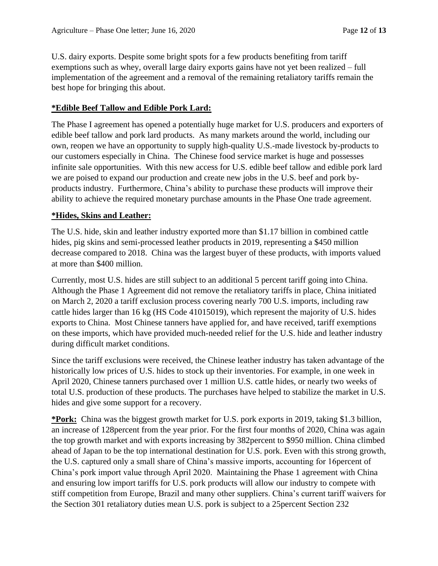U.S. dairy exports. Despite some bright spots for a few products benefiting from tariff exemptions such as whey, overall large dairy exports gains have not yet been realized – full implementation of the agreement and a removal of the remaining retaliatory tariffs remain the best hope for bringing this about.

#### **\*Edible Beef Tallow and Edible Pork Lard:**

The Phase I agreement has opened a potentially huge market for U.S. producers and exporters of edible beef tallow and pork lard products. As many markets around the world, including our own, reopen we have an opportunity to supply high-quality U.S.-made livestock by-products to our customers especially in China. The Chinese food service market is huge and possesses infinite sale opportunities. With this new access for U.S. edible beef tallow and edible pork lard we are poised to expand our production and create new jobs in the U.S. beef and pork byproducts industry. Furthermore, China's ability to purchase these products will improve their ability to achieve the required monetary purchase amounts in the Phase One trade agreement.

#### **\*Hides, Skins and Leather:**

The U.S. hide, skin and leather industry exported more than \$1.17 billion in combined cattle hides, pig skins and semi-processed leather products in 2019, representing a \$450 million decrease compared to 2018. China was the largest buyer of these products, with imports valued at more than \$400 million.

Currently, most U.S. hides are still subject to an additional 5 percent tariff going into China. Although the Phase 1 Agreement did not remove the retaliatory tariffs in place, China initiated on March 2, 2020 a tariff exclusion process covering nearly 700 U.S. imports, including raw cattle hides larger than 16 kg (HS Code 41015019), which represent the majority of U.S. hides exports to China. Most Chinese tanners have applied for, and have received, tariff exemptions on these imports, which have provided much-needed relief for the U.S. hide and leather industry during difficult market conditions.

Since the tariff exclusions were received, the Chinese leather industry has taken advantage of the historically low prices of U.S. hides to stock up their inventories. For example, in one week in April 2020, Chinese tanners purchased over 1 million U.S. cattle hides, or nearly two weeks of total U.S. production of these products. The purchases have helped to stabilize the market in U.S. hides and give some support for a recovery.

**\*Pork:** China was the biggest growth market for U.S. pork exports in 2019, taking \$1.3 billion, an increase of 128percent from the year prior. For the first four months of 2020, China was again the top growth market and with exports increasing by 382percent to \$950 million. China climbed ahead of Japan to be the top international destination for U.S. pork. Even with this strong growth, the U.S. captured only a small share of China's massive imports, accounting for 16percent of China's pork import value through April 2020. Maintaining the Phase 1 agreement with China and ensuring low import tariffs for U.S. pork products will allow our industry to compete with stiff competition from Europe, Brazil and many other suppliers. China's current tariff waivers for the Section 301 retaliatory duties mean U.S. pork is subject to a 25percent Section 232